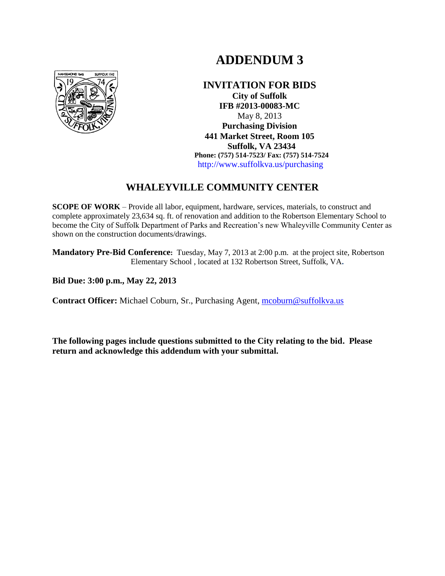# **ADDENDUM 3**



**INVITATION FOR BIDS City of Suffolk IFB #2013-00083-MC** May 8, 2013 **Purchasing Division 441 Market Street, Room 105 Suffolk, VA 23434 Phone: (757) 514-7523/ Fax: (757) 514-7524** http://www.suffolkva.us/purchasing

### **WHALEYVILLE COMMUNITY CENTER**

**SCOPE OF WORK** – Provide all labor, equipment, hardware, services, materials, to construct and complete approximately 23,634 sq. ft. of renovation and addition to the Robertson Elementary School to become the City of Suffolk Department of Parks and Recreation's new Whaleyville Community Center as shown on the construction documents/drawings.

**Mandatory Pre-Bid Conference:** Tuesday, May 7, 2013 at 2:00 p.m. at the project site, Robertson Elementary School , located at 132 Robertson Street, Suffolk, VA**.**

**Bid Due: 3:00 p.m., May 22, 2013**

**Contract Officer:** Michael Coburn, Sr., Purchasing Agent, [mcoburn@suffolkva.us](mailto:mcoburn@suffolkva.us)

**The following pages include questions submitted to the City relating to the bid. Please return and acknowledge this addendum with your submittal.**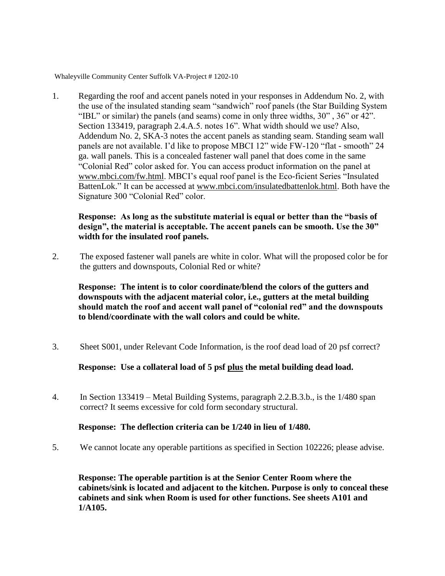Whaleyville Community Center Suffolk VA-Project # 1202-10

1. Regarding the roof and accent panels noted in your responses in Addendum No. 2, with the use of the insulated standing seam "sandwich" roof panels (the Star Building System "IBL" or similar) the panels (and seams) come in only three widths, 30" , 36" or 42". Section 133419, paragraph 2.4.A.5. notes 16". What width should we use? Also, Addendum No. 2, SKA-3 notes the accent panels as standing seam. Standing seam wall panels are not available. I'd like to propose MBCI 12" wide FW-120 "flat - smooth" 24 ga. wall panels. This is a concealed fastener wall panel that does come in the same "Colonial Red" color asked for. You can access product information on the panel at [www.mbci.com/fw.html.](http://www.mbci.com/fw.html) MBCI's equal roof panel is the Eco-ficient Series "Insulated BattenLok." It can be accessed at [www.mbci.com/insulatedbattenlok.html.](http://www.mbci.com/insulatedbattenlok.html) Both have the Signature 300 "Colonial Red" color.

#### **Response: As long as the substitute material is equal or better than the "basis of design", the material is acceptable. The accent panels can be smooth. Use the 30" width for the insulated roof panels.**

2. The exposed fastener wall panels are white in color. What will the proposed color be for the gutters and downspouts, Colonial Red or white?

**Response: The intent is to color coordinate/blend the colors of the gutters and downspouts with the adjacent material color, i.e., gutters at the metal building should match the roof and accent wall panel of "colonial red" and the downspouts to blend/coordinate with the wall colors and could be white.**

3. Sheet S001, under Relevant Code Information, is the roof dead load of 20 psf correct?

**Response: Use a collateral load of 5 psf plus the metal building dead load.**

4. In Section 133419 – Metal Building Systems, paragraph 2.2.B.3.b., is the 1/480 span correct? It seems excessive for cold form secondary structural.

#### **Response: The deflection criteria can be 1/240 in lieu of 1/480.**

5. We cannot locate any operable partitions as specified in Section 102226; please advise.

**Response: The operable partition is at the Senior Center Room where the cabinets/sink is located and adjacent to the kitchen. Purpose is only to conceal these cabinets and sink when Room is used for other functions. See sheets A101 and 1/A105.**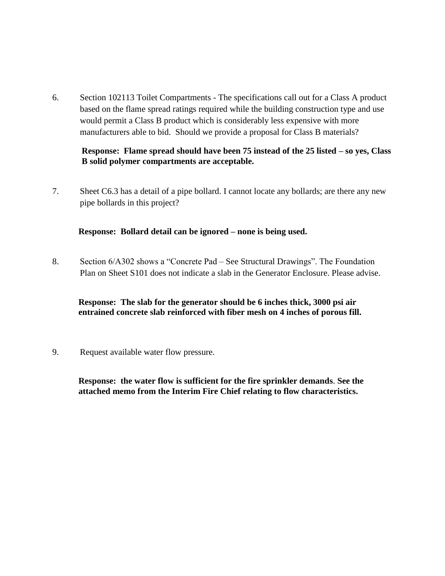6. Section 102113 Toilet Compartments - The specifications call out for a Class A product based on the flame spread ratings required while the building construction type and use would permit a Class B product which is considerably less expensive with more manufacturers able to bid. Should we provide a proposal for Class B materials?

#### **Response: Flame spread should have been 75 instead of the 25 listed – so yes, Class B solid polymer compartments are acceptable.**

7. Sheet C6.3 has a detail of a pipe bollard. I cannot locate any bollards; are there any new pipe bollards in this project?

#### **Response: Bollard detail can be ignored – none is being used.**

8. Section 6/A302 shows a "Concrete Pad – See Structural Drawings". The Foundation Plan on Sheet S101 does not indicate a slab in the Generator Enclosure. Please advise.

#### **Response: The slab for the generator should be 6 inches thick, 3000 psi air entrained concrete slab reinforced with fiber mesh on 4 inches of porous fill.**

9. Request available water flow pressure.

**Response: the water flow is sufficient for the fire sprinkler demands**. **See the attached memo from the Interim Fire Chief relating to flow characteristics.**